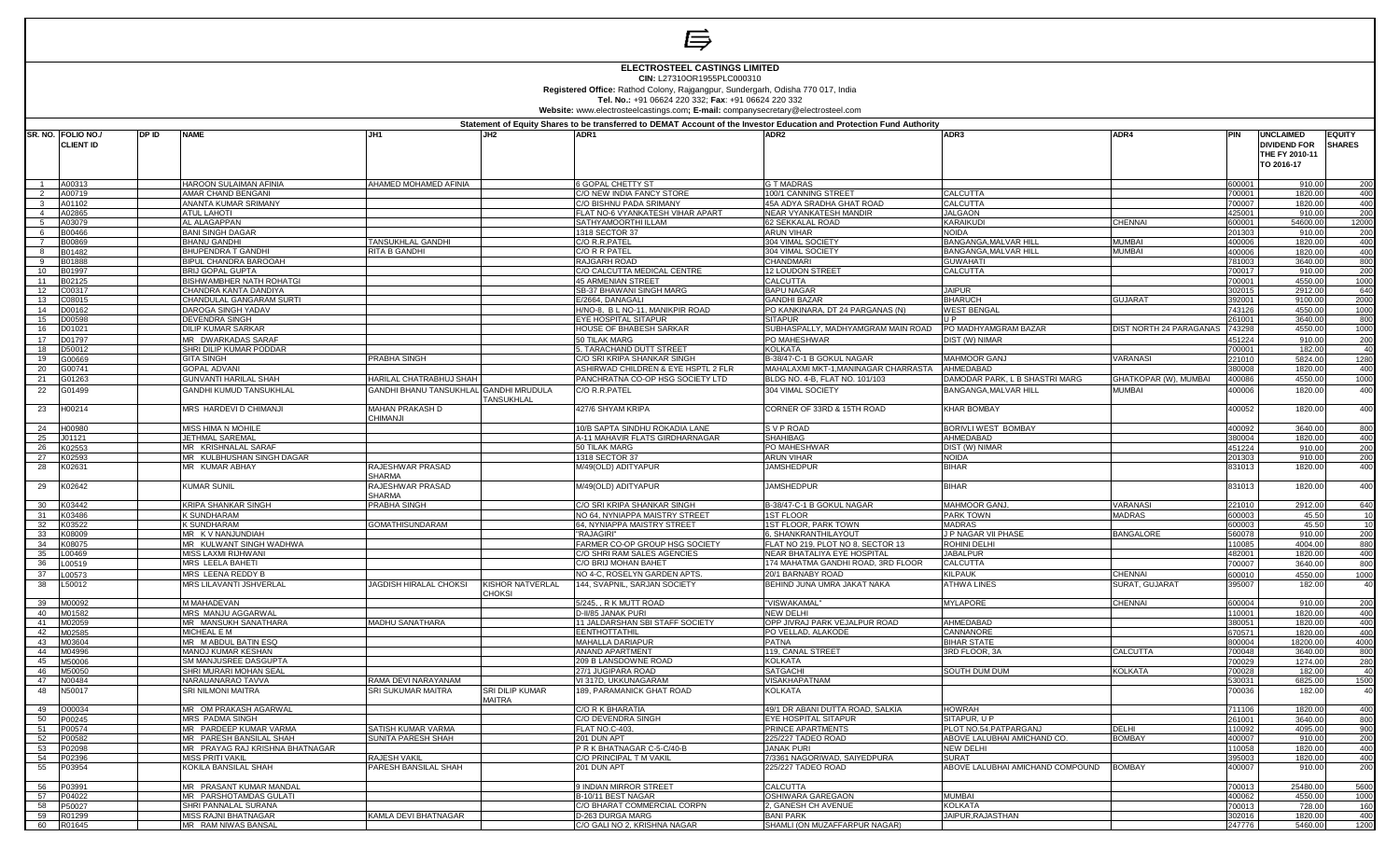

 $\Rightarrow$ 

**CIN:** L27310OR1955PLC000310

**Registered Office:** Rathod Colony, Rajgangpur, Sundergarh, Odisha 770 017, India **Tel. No.:** +91 06624 220 332; **Fax**: +91 06624 220 332

**Website:** www.electrosteelcastings.com**; E-mail:** companysecretary@electrosteel.com

|                | SR. NO. FOLIO NO./ | DP ID | <b>NAME</b>                                       | JH1                                      | JH <sub>2</sub>                  | ADR1                                                | Statement of Equity Shares to be transferred to DEMAT Account of the Investor Education and Protection Fund Authority<br>ADR2 | ADR3                                                 | ADR4                           |                  | <b>UNCLAIMED</b>                                    | <b>EQUITY</b>          |
|----------------|--------------------|-------|---------------------------------------------------|------------------------------------------|----------------------------------|-----------------------------------------------------|-------------------------------------------------------------------------------------------------------------------------------|------------------------------------------------------|--------------------------------|------------------|-----------------------------------------------------|------------------------|
|                | <b>CLIENT ID</b>   |       |                                                   |                                          |                                  |                                                     |                                                                                                                               |                                                      |                                |                  | <b>DIVIDEND FOR</b><br>THE FY 2010-11<br>TO 2016-17 | <b>SHARES</b>          |
|                | A00313             |       | <b>HAROON SULAIMAN AFINIA</b>                     | AHAMED MOHAMED AFINIA                    |                                  | <b>6 GOPAL CHETTY ST</b>                            | <b>G T MADRAS</b>                                                                                                             |                                                      |                                | 600001           | 910.00                                              | 200                    |
|                | A00719             |       | AMAR CHAND BENGANI                                |                                          |                                  | C/O NEW INDIA FANCY STORE                           | 100/1 CANNING STREET                                                                                                          | <b>CALCUTTA</b>                                      |                                | 700001           | 1820.0                                              | 400                    |
| $\mathbf{3}$   | A01102             |       | <b>ANANTA KUMAR SRIMANY</b>                       |                                          |                                  | C/O BISHNU PADA SRIMANY                             | 45A ADYA SRADHA GHAT ROAD                                                                                                     | CALCUTTA                                             |                                | 700007           | 1820.00                                             | 400                    |
| $\overline{4}$ | A02865             |       | <b>ATUL LAHOTI</b>                                |                                          |                                  | FLAT NO-6 VYANKATESH VIHAR APART                    | <b>NEAR VYANKATESH MANDIR</b>                                                                                                 | <b>JALGAON</b>                                       |                                | 425001           | 910.0                                               | 200                    |
| -5             | A03079             |       | <b>AL ALAGAPPAN</b>                               |                                          |                                  | SATHYAMOORTHI ILLAM                                 | 62 SEKKALAL ROAD                                                                                                              | KARAIKUDI                                            | <b>CHENNAI</b>                 | 600001           | 54600.00                                            | 12000                  |
| 6              | B00466             |       | <b>BANI SINGH DAGAR</b>                           |                                          |                                  | 1318 SECTOR 37                                      | <b>ARUN VIHAR</b>                                                                                                             | <b>NOIDA</b>                                         |                                | 201303           | 910.0                                               | 200                    |
| $\overline{7}$ | B00869             |       | <b>BHANU GANDHI</b>                               | <b>TANSUKHLAL GANDHI</b>                 |                                  | C/O R.R.PATEI                                       | 304 VIMAL SOCIETY                                                                                                             | <b>BANGANGA, MALVAR HILI</b>                         | <b>MUMBAI</b>                  | 400006           | 1820.00                                             | 400                    |
| $\mathbf{R}$   | B01482             |       | <b>BHUPENDRA T GANDHI</b>                         | <b>RITA B GANDHI</b>                     |                                  | C/O R R PATEI                                       | 304 VIMAL SOCIETY                                                                                                             | BANGANGA, MALVAR HILL                                | <b>MUMBAI</b>                  | 400006           | 1820.00                                             | 400                    |
| $\mathbf{q}$   | B01888             |       | BIPUL CHANDRA BAROOAH                             |                                          |                                  | <b>RAJGARH ROAD</b>                                 | CHANDMARI                                                                                                                     | <b>GUWAHATI</b>                                      |                                | 781003           | 3640.00                                             | 800                    |
| 10             | B01997             |       | <b>BRIJ GOPAL GUPTA</b>                           |                                          |                                  | C/O CALCUTTA MEDICAL CENTRE                         | 12 LOUDON STREET                                                                                                              | CALCUTTA                                             |                                | 700017           | 910.00                                              | 200                    |
| 11<br>12       | B02125             |       | BISHWAMBHER NATH ROHATGI                          |                                          |                                  | <b>45 ARMENIAN STREET</b>                           | <b>CALCUTTA</b>                                                                                                               | <b>JAIPUR</b>                                        |                                | 700001           | 4550.00                                             | 1000                   |
| 13             | C00317<br>C08015   |       | CHANDRA KANTA DANDIYA<br>CHANDULAL GANGARAM SURTI |                                          |                                  | SB-37 BHAWANI SINGH MARG<br>E/2664, DANAGALI        | <b>BAPU NAGAR</b><br><b>GANDHI BAZAR</b>                                                                                      | <b>BHARUCH</b>                                       | <b>GUJARAT</b>                 | 302015<br>392001 | 2912.00<br>9100.00                                  | 640<br>2000            |
| 14             | D00162             |       | DAROGA SINGH YADAV                                |                                          |                                  | H/NO-8, B L NO-11, MANIKPIR ROAD                    | PO KANKINARA, DT 24 PARGANAS (N)                                                                                              | <b>WEST BENGAL</b>                                   |                                | 743126           | 4550.00                                             | 1000                   |
| 15             | D00598             |       | DEVENDRA SINGH                                    |                                          |                                  | EYE HOSPITAL SITAPUR                                | <b>SITAPUR</b>                                                                                                                | IIP                                                  |                                | 261001           | 3640.00                                             | 800                    |
| 16             | D01021             |       | <b>DILIP KUMAR SARKAR</b>                         |                                          |                                  | HOUSE OF BHABESH SARKAR                             | SUBHASPALLY, MADHYAMGRAM MAIN ROAD                                                                                            | PO MADHYAMGRAM BAZAR                                 | <b>DIST NORTH 24 PARAGANAS</b> | 743298           | 4550.00                                             | 1000                   |
| 17             | D01797             |       | MR DWARKADAS SARAF                                |                                          |                                  | 50 TILAK MARG                                       | PO MAHESHWAR                                                                                                                  | DIST (W) NIMAR                                       |                                | 451224           | 910.00                                              | 200                    |
| 18             | D50012             |       | SHRI DILIP KUMAR PODDAR                           |                                          |                                  | 5, TARACHAND DUTT STREET                            | <b>KOLKATA</b>                                                                                                                |                                                      |                                | 700001           | 182.00                                              | 40                     |
| 19             | 00669              |       | <b>GITA SINGH</b>                                 | PRABHA SINGH                             |                                  | C/O SRI KRIPA SHANKAR SINGH                         | B-38/47-C-1 B GOKUL NAGAR                                                                                                     | <b>MAHMOOR GANJ</b>                                  | <b>VARANASI</b>                | 221010           | 5824.00                                             | 1280                   |
| 20             | G00741             |       | <b>GOPAL ADVANI</b>                               |                                          |                                  | ASHIRWAD CHILDREN & EYE HSPTL 2 FLR                 | MAHALAXMI MKT-1, MANINAGAR CHARRASTA AHMEDABAD                                                                                |                                                      |                                | 380008           | 1820.00                                             | 400                    |
| 21             | G01263             |       | <b>GUNVANTI HARILAL SHAH</b>                      | HARILAL CHATRABHUJ SHAH                  |                                  | PANCHRATNA CO-OP HSG SOCIETY LTD                    | BLDG NO. 4-B, FLAT NO. 101/103                                                                                                | DAMODAR PARK, L B SHASTRI MARG                       | GHATKOPAR (W), MUMBAI          | 400086           | 4550.00                                             | 1000                   |
| 22             | G01499             |       | GANDHI KUMUD TANSUKHLAL                           | GANDHI BHANU TANSUKHLAL GANDHI MRUDULA   | TANSUKHLAL                       | C/O R.R.PATEL                                       | 304 VIMAL SOCIETY                                                                                                             | BANGANGA, MALVAR HILL                                | <b>MUMBAI</b>                  | 400006           | 1820.00                                             | 400                    |
| 23             | H00214             |       | MRS HARDEVID CHIMANJI                             | MAHAN PRAKASH D<br><b>ILIAANJI</b>       |                                  | 427/6 SHYAM KRIPA                                   | CORNER OF 33RD & 15TH ROAD                                                                                                    | <b>KHAR BOMBAY</b>                                   |                                | 400052           | 1820.00                                             | 400                    |
| 24             | <b>HOO980</b>      |       | MISS HIMA N MOHILE                                |                                          |                                  | 10/B SAPTA SINDHU ROKADIA LANE                      | S V P ROAD                                                                                                                    | BORIVLI WEST BOMBAY                                  |                                | 400092           | 3640.00                                             | 800                    |
| 25             | J01121             |       | <b>JETHMAL SAREMAL</b>                            |                                          |                                  | A-11 MAHAVIR FLATS GIRDHARNAGAR                     | <b>SHAHIBAG</b>                                                                                                               | AHMEDABAD                                            |                                | 380004           | 1820.00                                             | 40 <sub>C</sub>        |
| 26             | K02553             |       | MR KRISHNALAL SARAF                               |                                          |                                  | 50 TILAK MARG                                       | PO MAHESHWAR                                                                                                                  | DIST (W) NIMAR                                       |                                | 451224           | 910.00                                              | 200                    |
| 27             | K02593             |       | MR KULBHUSHAN SINGH DAGAR                         |                                          |                                  | 1318 SECTOR 37                                      | <b>ARUN VIHAR</b>                                                                                                             | <b>NOIDA</b>                                         |                                | 201303           | 910.00                                              | 200                    |
| 28             | K02631             |       | MR KUMAR ABHAY                                    | RAJESHWAR PRASAD<br>SHARMA               |                                  | M/49(OLD) ADITYAPUR                                 | <b>JAMSHEDPUR</b>                                                                                                             | <b>BIHAR</b>                                         |                                | 831013           | 1820.00                                             | 400                    |
| 29             | K02642             |       | <b>KUMAR SUNIL</b>                                | RAJESHWAR PRASAD<br><b>HARMA</b>         |                                  | M/49(OLD) ADITYAPUR                                 | <b>JAMSHEDPUR</b>                                                                                                             | <b>BIHAR</b>                                         |                                | 831013           | 1820.00                                             | 400                    |
| 30             | K03442             |       | <b>KRIPA SHANKAR SINGH</b>                        | PRABHA SINGH                             |                                  | C/O SRI KRIPA SHANKAR SINGH                         | B-38/47-C-1 B GOKUL NAGAR                                                                                                     | MAHMOOR GANJ,                                        | <b>VARANASI</b>                | 221010           | 2912.00                                             | 640                    |
| 31             | K03486             |       | K SUNDHARAM                                       |                                          |                                  | NO 64, NYNIAPPA MAISTRY STREET                      | <b>1ST FLOOR</b>                                                                                                              | <b>PARK TOWN</b>                                     | <b>MADRAS</b>                  | 600003           | 45.50                                               | 10                     |
| 32             | K03522             |       | <b>K SUNDHARAM</b>                                | <b>GOMATHISUNDARAM</b>                   |                                  | 64, NYNIAPPA MAISTRY STREET                         | 1ST FLOOR, PARK TOWN                                                                                                          | <b>MADRAS</b>                                        |                                | 600003           | 45.50                                               | 10                     |
| 33<br>34       | K08009             |       | MR K V NANJUNDIAH<br>MR KULWANT SINGH WADHWA      |                                          |                                  | <b>RAJAGIRI</b> "<br>FARMER CO-OP GROUP HSG SOCIETY | , SHANKRANTHILAYOUT<br>FLAT NO 219, PLOT NO 8, SECTOR 13                                                                      | J P NAGAR VII PHASE<br>ROHINI DELHI                  | <b>BANGALORE</b>               | 560078<br>110085 | 910.00                                              | 200                    |
| 35             | K08075<br>00469    |       | <b>MISS LAXMI RIJHWANI</b>                        |                                          |                                  | C/O SHRI RAM SALES AGENCIES                         | NEAR BHATALIYA EYE HOSPITAL                                                                                                   | <b>JABALPUR</b>                                      |                                | 482001           | 4004.00<br>1820.00                                  | 880<br>400             |
| 36             | 00519              |       | MRS LEELA BAHETI                                  |                                          |                                  | C/O BRIJ MOHAN BAHET                                | 174 MAHATMA GANDHI ROAD, 3RD FLOOR                                                                                            | <b>CALCUTTA</b>                                      |                                | 700007           | 3640.00                                             | 800                    |
| 37             | L00573             |       | MRS LEENA REDDY B                                 |                                          |                                  | NO 4-C, ROSELYN GARDEN APTS                         | 20/1 BARNABY ROAD                                                                                                             | <b>KILPAUK</b>                                       | <b>CHENNAI</b>                 | 600010           | 4550.00                                             | 1000                   |
| 38             | L50012             |       | MRS LILAVANTI JSHVERLAL                           | JAGDISH HIRALAL CHOKSI                   | KISHOR NATVERLAL<br><b>HOKSI</b> | 144, SVAPNIL, SARJAN SOCIETY                        | BEHIND JUNA UMRA JAKAT NAKA                                                                                                   | <b>ATHWA LINES</b>                                   | SURAT, GUJARAT                 | 395007           | 182.00                                              | 40                     |
| 39             | M00092             |       | M MAHADEVAN                                       |                                          |                                  | 5/245, , R K MUTT ROAD                              | "VISWAKAMAL"                                                                                                                  | <b>MYLAPORE</b>                                      | <b>CHENNAI</b>                 | 600004           | 910.00                                              | 200                    |
| 40             | M01582             |       | MRS MANJU AGGARWAL                                |                                          |                                  | D-II/85 JANAK PURI                                  | <b>NEW DELHI</b>                                                                                                              |                                                      |                                | 110001           | 1820.00                                             | 400                    |
| 41             | M02059             |       | MR MANSUKH SANATHARA                              | MADHU SANATHARA                          |                                  | 11 JALDARSHAN SBI STAFF SOCIETY                     | OPP JIVRAJ PARK VEJALPUR ROAD                                                                                                 | AHMEDABAD                                            |                                | 380051           | 1820.00                                             | 400                    |
| 42             | M02585             |       | MICHEAL E M                                       |                                          |                                  | <b>EENTHOTTATHIL</b>                                | PO VELLAD, ALAKODE                                                                                                            | CANNANORE                                            |                                | 670571           | 1820.00                                             | 400                    |
| 43             | M03604             |       | MR M ABDUL BATIN ESQ                              |                                          |                                  | <b>MAHALLA DARIAPUR</b>                             | <b>PATNA</b>                                                                                                                  | <b>BIHAR STATE</b>                                   |                                | 800004           | 18200.00                                            | 4000                   |
| 44             | M04996             |       | MANOJ KUMAR KESHAN                                |                                          |                                  | <b>ANAND APARTMENT</b>                              | 119, CANAL STREET                                                                                                             | 3RD FLOOR, 3A                                        | CALCUTTA                       | 700048           | 3640.00                                             | 800                    |
| 45             | <b>M50006</b>      |       | SM MANJUSREE DASGUPTA                             |                                          |                                  | 209 B LANSDOWNE ROAD                                | <b>KOLKATA</b>                                                                                                                |                                                      |                                | 700029           | 1274.00                                             | 280                    |
| 46             | 450050             |       | SHRI MURARI MOHAN SEAL                            |                                          |                                  | 27/1 JUGIPARA ROAD                                  | <b>SATGACHI</b>                                                                                                               | SOUTH DUM DUM                                        | <b>KOLKATA</b>                 | 700028           | 182.00                                              | 40                     |
| 47             | N00484             |       | NARAUANARAO TAVVA                                 | RAMA DEVI NARAYANAM                      |                                  | /I 317D, UKKUNAGARAM                                | <b>VISAKHAPATNAM</b>                                                                                                          |                                                      |                                | 530031           | 6825.00                                             | 1500                   |
| 48             | N50017             |       | SRI NILMONI MAITRA                                | SRI SUKUMAR MAITRA                       | SRI DILIP KUMAR<br><b>AAITRA</b> | 189, PARAMANICK GHAT ROAD                           | <b>KOLKATA</b>                                                                                                                |                                                      |                                | 700036           | 182.00                                              | 40                     |
| 49             | <b>DOOO34</b>      |       | MR OM PRAKASH AGARWAL                             |                                          |                                  | C/O R K BHARATIA                                    | 49/1 DR ABANI DUTTA ROAD, SALKIA                                                                                              | <b>HOWRAH</b>                                        |                                | 711106           | 1820.00                                             | 40 <sub>C</sub>        |
| 50             | P00245             |       | MRS PADMA SINGH                                   |                                          |                                  | C/O DEVENDRA SINGH                                  | EYE HOSPITAL SITAPUR                                                                                                          | SITAPUR, U P                                         |                                | 261001           | 3640.0                                              | 800                    |
| 51<br>52       | P00574<br>P00582   |       | MR PARDEEP KUMAR VARMA<br>MR PARESH BANSILAL SHAH | SATISH KUMAR VARMA<br>SUNITA PARESH SHAH |                                  | FLAT NO.C-403,<br>201 DUN APT                       | PRINCE APARTMENTS<br>225/227 TADEO ROAD                                                                                       | PLOT NO.54.PATPARGANJ<br>ABOVE LALUBHAI AMICHAND CO. | <b>DELHI</b><br><b>BOMBAY</b>  | 110092<br>400007 | 4095.00<br>910.00                                   | 900<br>20 <sup>c</sup> |
| 53             | 202098             |       | MR PRAYAG RAJ KRISHNA BHATNAGAR                   |                                          |                                  | P R K BHATNAGAR C-5-C/40-B                          | <b>JANAK PURI</b>                                                                                                             | <b>NEW DELHI</b>                                     |                                | 110058           | 1820.00                                             | 400                    |
| 54             | P02396             |       | <b>MISS PRITI VAKIL</b>                           | <b>RAJESH VAKIL</b>                      |                                  | C/O PRINCIPAL T M VAKIL                             | 7/3361 NAGORIWAD, SAIYEDPURA                                                                                                  | <b>SURAT</b>                                         |                                | 395003           | 1820.00                                             | 400                    |
| 55             | P03954             |       | KOKILA BANSILAL SHAH                              | PARESH BANSILAL SHAH                     |                                  | 201 DUN APT                                         | 225/227 TADEO ROAD                                                                                                            | ABOVE LALUBHAI AMICHAND COMPOUND                     | <b>BOMBAY</b>                  | 400007           | 910.00                                              | 200                    |
| 56             | P03991             |       | MR PRASANT KUMAR MANDAL                           |                                          |                                  | 9 INDIAN MIRROR STREET                              | <b>CALCUTTA</b>                                                                                                               |                                                      |                                | 700013           | 25480.00                                            | 5600                   |
| 57             | P04022             |       | MR PARSHOTAMDAS GULATI                            |                                          |                                  | B-10/11 BEST NAGAR                                  | OSHIWARA GAREGAON                                                                                                             | <b>MUMBAI</b>                                        |                                | 400062           | 4550.00                                             | 1000                   |
| 58             | P50027             |       | SHRI PANNALAL SURANA                              |                                          |                                  | C/O BHARAT COMMERCIAL CORPN                         | 2. GANESH CH AVENUE                                                                                                           | <b>KOLKATA</b>                                       |                                | 700013           | 728.00                                              | 160                    |
| 59             | R01299             |       | <b>MISS RAJNI BHATNAGAR</b>                       | KAMLA DEVI BHATNAGAR                     |                                  | D-263 DURGA MARG                                    | <b>BANI PARK</b>                                                                                                              | JAIPUR, RAJASTHAN                                    |                                | 302016           | 1820.00                                             | 400                    |
|                | 60 R01645          |       | MR RAM NIWAS BANSAL                               |                                          |                                  | C/O GALI NO 2, KRISHNA NAGAR                        | SHAMLI (ON MUZAFFARPUR NAGAR)                                                                                                 |                                                      |                                | 247776           | 5460.00                                             | 1200                   |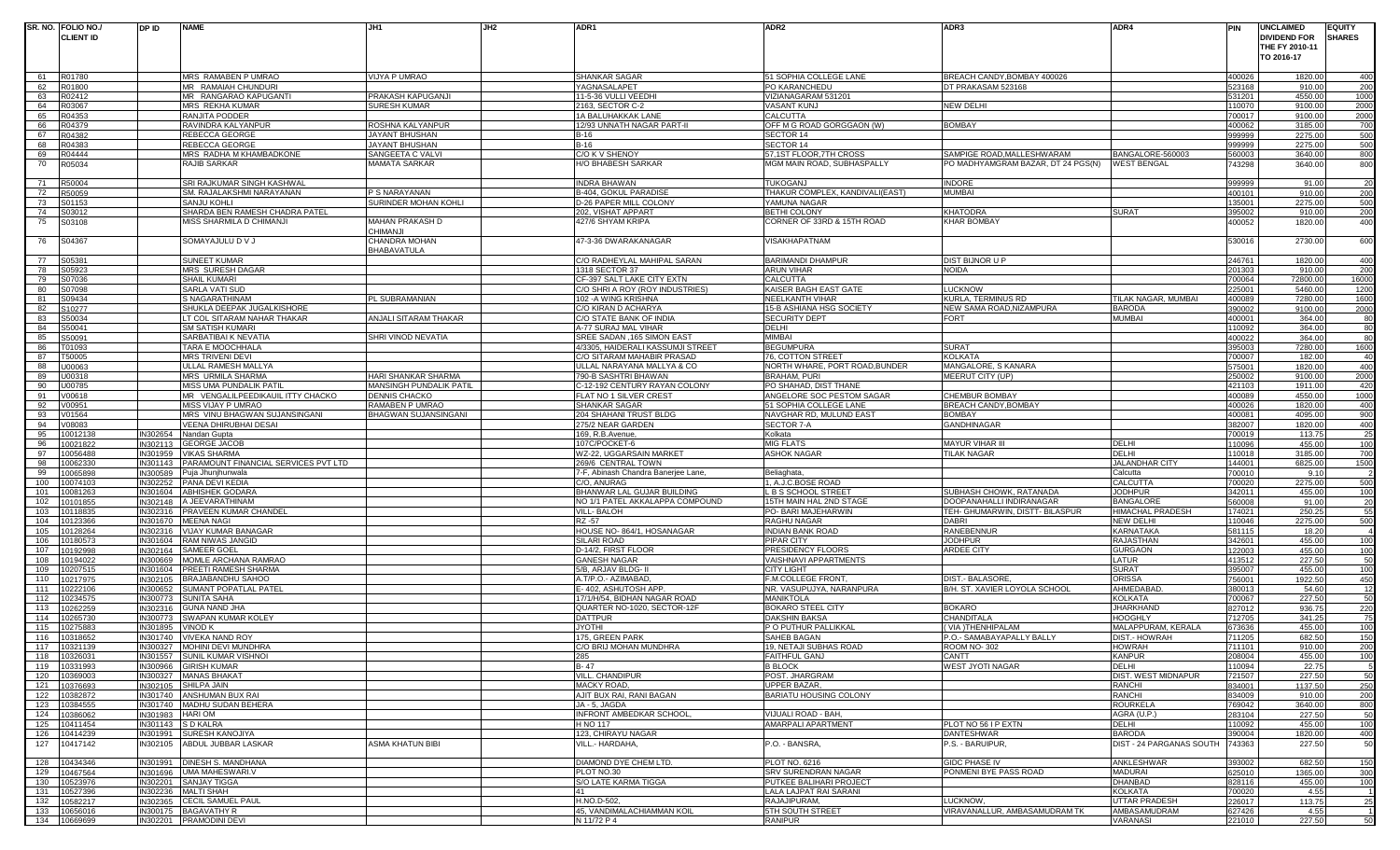|          | SR. NO. FOLIO NO./           | DP ID    | <b>NAME</b>                                                  | JH1                                      | JH2 | ADR1                                                    | ADR <sub>2</sub>                                     | ADR3                                    | ADR4                          | PIN              | <b>UNCLAIMED</b>    | <b>EQUITY</b> |                  |
|----------|------------------------------|----------|--------------------------------------------------------------|------------------------------------------|-----|---------------------------------------------------------|------------------------------------------------------|-----------------------------------------|-------------------------------|------------------|---------------------|---------------|------------------|
|          | <b>CLIENT ID</b>             |          |                                                              |                                          |     |                                                         |                                                      |                                         |                               |                  | <b>DIVIDEND FOR</b> | <b>SHARES</b> |                  |
|          |                              |          |                                                              |                                          |     |                                                         |                                                      |                                         |                               |                  | THE FY 2010-11      |               |                  |
|          |                              |          |                                                              |                                          |     |                                                         |                                                      |                                         |                               |                  | TO 2016-17          |               |                  |
|          |                              |          |                                                              |                                          |     |                                                         |                                                      |                                         |                               |                  |                     |               |                  |
| 61       | R01780                       |          | MRS RAMABEN P UMRAO                                          | VIJYA P UMRAO                            |     | SHANKAR SAGAR                                           | 51 SOPHIA COLLEGE LANE                               | BREACH CANDY, BOMBAY 400026             |                               | 400026           | 1820.00             |               | 400              |
| 62       | R01800                       |          | MR RAMAIAH CHUNDURI                                          |                                          |     | YAGNASALAPET                                            | PO KARANCHEDU                                        | DT PRAKASAM 523168                      |                               | 523168           | 910.00              |               | 200              |
| 63       | R02412                       |          | MR RANGARAO KAPUGANTI                                        | PRAKASH KAPUGANJI                        |     | 11-5-36 VULLI VEEDHI                                    | VIZIANAGARAM 531201                                  |                                         |                               | 531201           | 4550.00             |               | 1000             |
| 64       | R03067                       |          | MRS REKHA KUMAR                                              | SURESH KUMAR                             |     | 2163, SECTOR C-2                                        | VASANT KUNJ                                          | <b>NEW DELHI</b>                        |                               | 110070           | 9100.00             |               | 2000             |
| 65       | R04353                       |          | RANJITA PODDER                                               |                                          |     | 1A BALUHAKKAK LANE                                      | CALCUTTA                                             |                                         |                               | 700017           | 9100.00             |               | 2000             |
| 66       | R04379                       |          | RAVINDRA KALYANPUR                                           | ROSHNA KALYANPUR                         |     | 12/93 UNNATH NAGAR PART-II<br>$B-16$                    | OFF M G ROAD GORGGAON (W)                            | <b>BOMBAY</b>                           |                               | 400062           | 3185.00             |               | 700              |
| 67<br>68 | R04382<br>R04383             |          | REBECCA GEORGE<br>REBECCA GEORGE                             | JAYANT BHUSHAN<br>JAYANT BHUSHAN         |     | $B-16$                                                  | SECTOR 14<br>SECTOR 14                               |                                         |                               | 999999<br>999999 | 2275.00<br>2275.00  |               | 500<br>500       |
| 69       | R04444                       |          | MRS RADHA M KHAMBADKONE                                      | SANGEETA C VALV                          |     | C/O K V SHENOY                                          | 57,1ST FLOOR,7TH CROSS                               | SAMPIGE ROAD, MALLESHWARAM              | BANGALORE-560003              | 560003           | 3640.00             |               | 800              |
| 70       | R05034                       |          | RAJIB SARKAR                                                 | MAMATA SARKAR                            |     | H/O BHABESH SARKAR                                      | MGM MAIN ROAD, SUBHASPALLY                           | PO MADHYAMGRAM BAZAR, DT 24 PGS(N)      | <b><i>NEST BENGAL</i></b>     | '43298           | 3640.00             |               | 800              |
|          |                              |          |                                                              |                                          |     |                                                         |                                                      |                                         |                               |                  |                     |               |                  |
| 71       | R50004                       |          | SRI RAJKUMAR SINGH KASHWAL                                   |                                          |     | <b>INDRA BHAWAN</b>                                     | TUKOGANJ                                             | <b>INDORE</b>                           |                               | 999999           | 91.00               |               | 20               |
| 72       | R50059                       |          | SM. RAJALAKSHMI NARAYANAN                                    | P S NARAYANAN                            |     | B-404, GOKUL PARADISE                                   | THAKUR COMPLEX, KANDIVALI(EAST)                      | <b>MUMBAI</b>                           |                               | 400101           | 910.00              |               | 200              |
| 73       | S01153                       |          | <b>SANJU KOHLI</b>                                           | SURINDER MOHAN KOHLI                     |     | D-26 PAPER MILL COLONY                                  | YAMUNA NAGAR                                         |                                         |                               | 35001            | 2275.00             |               | 500              |
| 74       | S03012                       |          | SHARDA BEN RAMESH CHADRA PATEL                               |                                          |     | 202, VISHAT APPART                                      | BETHI COLONY                                         | <b>KHATODRA</b>                         | SURAT                         | 395002           | 910.00              |               | 200              |
| 75       | S03108                       |          | MISS SHARMILA D CHIMANJI                                     | MAHAN PRAKASH D                          |     | 427/6 SHYAM KRIPA                                       | CORNER OF 33RD & 15TH ROAD                           | <b>KHAR BOMBAY</b>                      |                               | 400052           | 1820.00             |               | 400              |
|          |                              |          |                                                              | <b>CHIMANJI</b>                          |     |                                                         |                                                      |                                         |                               |                  |                     |               |                  |
| 76       | S04367                       |          | SOMAYAJULU D V J                                             | CHANDRA MOHAN                            |     | 47-3-36 DWARAKANAGAR                                    | VISAKHAPATNAM                                        |                                         |                               | 530016           | 2730.00             |               | 600              |
|          |                              |          |                                                              | BHABAVATULA                              |     |                                                         |                                                      |                                         |                               |                  |                     |               |                  |
| 77       | S05381                       |          | <b>SUNEET KUMAR</b>                                          |                                          |     | C/O RADHEYLAL MAHIPAL SARAN                             | <b>BARIMANDI DHAMPUR</b>                             | <b>DIST BIJNOR U P</b>                  |                               | 246761           | 1820.00             |               | 400              |
| 78       | S05923                       |          | MRS SURESH DAGAR                                             |                                          |     | 1318 SECTOR 37                                          | ARUN VIHAR                                           | <b>NOIDA</b>                            |                               | 201303           | 910.00              |               | 200              |
| 79       | S07036                       |          | SHAIL KUMARI                                                 |                                          |     | CF-397 SALT LAKE CITY EXTN                              | CALCUTTA                                             |                                         |                               | 700064           | 72800.00            |               | 16000            |
| 80       | S07098                       |          | SARLA VATI SUD                                               |                                          |     | C/O SHRI A ROY (ROY INDUSTRIES)                         | KAISER BAGH EAST GATE                                | LUCKNOW                                 |                               | 225001           | 5460.00             |               | 1200             |
| 81       | S09434                       |          | S NAGARATHINAM                                               | PL SUBRAMANIAN                           |     | 102 - A WING KRISHNA                                    | NEELKANTH VIHAR                                      | KURLA, TERMINUS RD                      | TILAK NAGAR, MUMBAI           | 400089           | 7280.00             |               | 1600             |
| 82       | S10277                       |          | SHUKLA DEEPAK JUGALKISHORE                                   |                                          |     | C/O KIRAN D ACHARYA                                     | 15-B ASHIANA HSG SOCIETY                             | NEW SAMA ROAD, NIZAMPURA                | <b>BARODA</b>                 | 390002           | 9100.00             |               | 2000             |
| 83       | S50034                       |          | LT COL SITARAM NAHAR THAKAR                                  | ANJALI SITARAM THAKAR                    |     | C/O STATE BANK OF INDIA                                 | <b>SECURITY DEPT</b>                                 | <b>FORT</b>                             | Mumbai                        | 400001           | 364.00              |               | 80               |
| 84       | S50041                       |          | <b>SM SATISH KUMARI</b>                                      |                                          |     | A-77 SURAJ MAL VIHAR                                    | DELHI                                                |                                         |                               | 110092           | 364.00              |               | 80               |
| 85       | S50091                       |          | SARBATIBAI K NEVATIA                                         | SHRI VINOD NEVATIA                       |     | SREE SADAN ,165 SIMON EAST                              | MIMBAI                                               |                                         |                               | 400022           | 364.00              |               | 80               |
| 86       | T01093                       |          | TARA E MOOCHHALA                                             |                                          |     | 4/3305, HAIDERALI KASSUMJI STREET                       | <b>BEGUMPURA</b>                                     | <b>SURAT</b>                            |                               | 395003           | 7280.00             |               | 1600             |
| 87       | T50005                       |          | <b>MRS TRIVENI DEVI</b>                                      |                                          |     | C/O SITARAM MAHABIR PRASAD                              | 76. COTTON STREET                                    | <b>KOLKATA</b>                          |                               | 700007           | 182.00              |               | 40               |
| 88<br>89 | U00063<br>U00318             |          | ULLAL RAMESH MALLYA<br><b>MRS URMILA SHARMA</b>              | HARI SHANKAR SHARMA                      |     | ULLAL NARAYANA MALLYA & CO<br>790-B SASHTRI BHAWAN      | NORTH WHARE, PORT ROAD,BUNDER<br><b>BRAHAM, PURI</b> | MANGALORE, S KANARA<br>MEERUT CITY (UP) |                               | 575001<br>250002 | 1820.00<br>9100.00  |               | 400<br>2000      |
|          |                              |          |                                                              |                                          |     |                                                         |                                                      |                                         |                               |                  |                     |               |                  |
| 90<br>91 | U00785                       |          | MISS UMA PUNDALIK PATIL<br>MR VENGALILPEEDIKAUIL ITTY CHACKO | MANSINGH PUNDALIK PATIL<br>DENNIS CHACKO |     | C-12-192 CENTURY RAYAN COLONY<br>FLAT NO 1 SILVER CREST | PO SHAHAD, DIST THANE<br>ANGELORE SOC PESTOM SAGAR   | CHEMBUR BOMBAY                          |                               | 421103<br>400089 | 1911.00<br>4550.00  |               | 420<br>1000      |
| 92       | V00618<br>V00951             |          | MISS VIJAY P UMRAO                                           | RAMABEN P UMRAC                          |     | SHANKAR SAGAR                                           | 51 SOPHIA COLLEGE LANE                               | BREACH CANDY, BOMBAY                    |                               | 400026           | 1820.00             |               | 400              |
| 93       | V01564                       |          | MRS VINU BHAGWAN SUJANSINGANI                                | BHAGWAN SUJANSINGANI                     |     | 204 SHAHANI TRUST BLDG                                  | NAVGHAR RD, MULUND EAST                              | <b>BOMBAY</b>                           |                               | 400081           | 4095.00             |               | 900              |
| 94       | V08083                       |          | VEENA DHIRUBHAI DESAI                                        |                                          |     | 275/2 NEAR GARDEN                                       | SECTOR 7-A                                           | <b>GANDHINAGAR</b>                      |                               | 382007           | 1820.00             |               | 400              |
| 95       | 10012138                     | IN302654 | Nandan Gupta                                                 |                                          |     | 169, R.B.Avenue                                         | Kolkata                                              |                                         |                               | 700019           | 113.75              |               | 25               |
| 96       | 10021822                     | IN302113 | <b>GEORGE JACOB</b>                                          |                                          |     | 107C/POCKET-6                                           | <b>MIG FLATS</b>                                     | <b>MAYUR VIHAR III</b>                  | <b>DELHI</b>                  | 110096           | 455.00              |               | 100              |
| 97       | 10056488                     | IN301959 | <b>VIKAS SHARMA</b>                                          |                                          |     | WZ-22, UGGARSAIN MARKET                                 | <b>ASHOK NAGAR</b>                                   | <b>TILAK NAGAR</b>                      | DELHI                         | 10018            | 3185.00             |               | 700              |
| 98       | 10062330                     | IN301143 | PARAMOUNT FINANCIAL SERVICES PVT LTD                         |                                          |     | 269/6 CENTRAL TOWN                                      |                                                      |                                         | <b>JALANDHAR CITY</b>         | 144001           | 6825.00             |               | 1500             |
| 99       | 0065898                      | IN300589 | Puja Jhunjhunwala                                            |                                          |     | 7-F, Abinash Chandra Banerjee Lane,                     | Beliaghata,                                          |                                         | Calcutta                      | 700010           | 9.10                |               |                  |
| 100      | 10074103                     | IN302252 | PANA DEVI KEDIA                                              |                                          |     | C/O, ANURAG                                             | 1, A.J.C.BOSE ROAD                                   |                                         | CALCUTTA                      | 700020           | 2275.00             |               | 500              |
| 101      | 10081263                     | IN301604 | <b>ABHISHEK GODARA</b>                                       |                                          |     | BHANWAR LAL GUJAR BUILDING                              | L B S SCHOOL STREET                                  | SUBHASH CHOWK, RATANADA                 | JODHPUR                       | 342011           | 455.00              |               | 100              |
| 102      | 10101855                     | IN302148 | A JEEVARATHINAM                                              |                                          |     | NO 1/1 PATEL AKKALAPPA COMPOUND                         | 15TH MAIN HAL 2ND STAGE                              | DOOPANAHALLI INDIRANAGAR                | <b>BANGALORE</b>              | 560008           | 91.00               |               | 20               |
| 103      | 10118835                     | IN302316 | PRAVEEN KUMAR CHANDEL                                        |                                          |     | VILL- BALOH                                             | PO- BARI MAJEHARWIN                                  | TEH- GHUMARWIN, DISTT- BILASPUR         | HIMACHAL PRADESH              | 74021            | 250.25              |               | 55               |
| 104      | 10123366                     | IN301670 | <b>MEENA NAGI</b>                                            |                                          |     | RZ -57                                                  | RAGHU NAGAR                                          | <b>DABRI</b>                            | <b>NEW DELHI</b>              | 110046           | 2275.00             |               | 500              |
| 105      | 10128264                     | IN302316 | VIJAY KUMAR BANAGAR                                          |                                          |     | HOUSE NO-864/1, HOSANAGAR                               | <b>INDIAN BANK ROAD</b>                              | <b>RANEBENNUR</b>                       | KARNATAKA                     | 581115           | 18.20               |               |                  |
| 106      | 10180573                     | IN301604 | RAM NIWAS JANGID                                             |                                          |     | SILARI ROAD                                             | <b>PIPAR CITY</b>                                    | <b>JODHPUR</b>                          | RAJASTHAN                     | 342601           | 455.00              |               | 100              |
| 107      | 10192998                     | IN302164 | <b>SAMEER GOEL</b>                                           |                                          |     | D-14/2, FIRST FLOOR                                     | PRESIDENCY FLOORS                                    | <b>ARDEE CITY</b>                       | <b>GURGAON</b>                | 122003           | 455.00              |               | 100              |
| 108      | 10194022                     | IN300669 | MOMLE ARCHANA RAMRAO                                         |                                          |     | <b>GANESH NAGAR</b>                                     | <b>VAISHNAVI APPARTMENTS</b>                         |                                         | LATUR                         | 413512           | 227.50              |               | $\frac{50}{100}$ |
| 109      | 10207515                     | IN301604 | PREETI RAMESH SHARMA                                         |                                          |     | 5/B, ARJAV BLDG- II                                     | CITY LIGHT                                           |                                         | SURAT                         | 395007           | 455.00              |               |                  |
| 110      | 10217975                     | IN302105 | BRAJABANDHU SAHOO                                            |                                          |     | A.T/P.O.- AZIMABAD                                      | F.M.COLLEGE FRONT                                    | <b>DIST.- BALASORE</b>                  | ORISSA                        | 56001            | 1922.50             |               | 450              |
| 111      | 10222106                     | IN300652 | <b>SUMANT POPATLAL PATEI</b>                                 |                                          |     | E- 402, ASHUTOSH APP                                    | NR. VASUPUJYA, NARANPURA                             | B/H. ST. XAVIER LOYOLA SCHOOL           | AHMEDABAD                     | 380013           | 54.60               |               | 12               |
| 112      | 10234575                     | IN300773 | <b>SUNITA SAHA</b>                                           |                                          |     | 17/1/H/54, BIDHAN NAGAR ROAD                            | MANIKTOLA                                            |                                         | KOLKATA                       | 700067           | 227.50              |               | 50               |
| 113      | 10262259                     | IN302316 | <b>GUNA NAND JHA</b>                                         |                                          |     | QUARTER NO-1020, SECTOR-12F                             | BOKARO STEEL CITY                                    | <b>BOKARO</b>                           | <b>JHARKHAND</b>              | 827012           | 936.75              |               | 220              |
| 114      | 0265730                      | IN300773 | SWAPAN KUMAR KOLEY                                           |                                          |     | <b>DATTPUR</b>                                          | DAKSHIN BAKSA                                        | CHANDITALA                              | HOOGHLY                       | 712705           | 341.25              |               | 75               |
| 115      | 10275883                     | IN301895 | <b>VINOD K</b>                                               |                                          |     | <b>JYOTHI</b>                                           | P O PUTHUR PALLIKKAL                                 | VIA ) THENHIPALAM                       | MALAPPURAM, KERALA            | 673636           | 455.00              |               | 100              |
| 116      | 10318652                     |          | IN301740 VIVEKA NAND ROY                                     |                                          |     | 175, GREEN PARK                                         | SAHEB BAGAN                                          | P.O.- SAMABAYAPALLY BALLY               | DIST.- HOWRAH                 | 711205           | 682.50              |               | 150              |
|          | 117 10321139                 |          | IN300327 MOHINI DEVI MUNDHRA                                 |                                          |     | C/O BRIJ MOHAN MUNDHRA                                  | 9. NETAJI SUBHAS ROAD                                | <b>ROOM NO-302</b>                      | <b>HOWRAH</b>                 | 711101           | 910.00              |               | 200              |
|          | 118 10326031                 |          | IN301557 SUNIL KUMAR VISHNOI<br>IN300966 GIRISH KUMAR        |                                          |     | 285<br>B-47                                             | <b>FAITHFUL GANJ</b>                                 | CANTT                                   | <b>KANPUR</b><br><b>DELHI</b> | 208004           | 455.00              |               | 100              |
|          | 119 10331993                 |          |                                                              |                                          |     |                                                         | <b>B BLOCK</b>                                       | <b>WEST JYOTI NAGAR</b>                 | <b>DIST. WEST MIDNAPUR</b>    | 10094            | 22.75               |               |                  |
|          | 120 10369003                 |          | IN300327 MANAS BHAKAT<br>IN302105 SHILPA JAIN                |                                          |     | VILL. CHANDIPUR<br>MACKY ROAD,                          | POST, JHARGRAM<br>UPPER BAZAR,                       |                                         | <b>RANCHI</b>                 | 721507           | 227.50<br>1137.50   |               | 50               |
|          | 121 10376693<br>122 10382872 |          | IN301740 ANSHUMAN BUX RAI                                    |                                          |     | AJIT BUX RAI, RANI BAGAN                                | <b>BARIATU HOUSING COLONY</b>                        |                                         | RANCHI                        | 834001<br>834009 | 910.00              |               | 250<br>200       |
| 123      | 10384555                     |          | IN301740 MADHU SUDAN BEHERA                                  |                                          |     | JA - 5, JAGDA                                           |                                                      |                                         | <b>ROURKELA</b>               | 769042           | 3640.00             |               | 800              |
|          | 124 10386062                 | IN301983 | <b>HARI OM</b>                                               |                                          |     | INFRONT AMBEDKAR SCHOOL                                 | VIJUALI ROAD - BAH,                                  |                                         | AGRA (U.P.)                   | 283104           | 227.50              |               | 50               |
|          | 125 10411454                 |          | IN301143 SD KALRA                                            |                                          |     | H NO 117                                                | <b>AMARPALI APARTMENT</b>                            | PLOT NO 56 I P EXTN                     | DELHI                         | 110092           | 455.00              |               | 100              |
|          | 126 10414239                 | IN301991 | SURESH KANOJIYA                                              |                                          |     | 123, CHIRAYU NAGAR                                      |                                                      | <b>DANTESHWAR</b>                       | <b>BARODA</b>                 | 390004           | 1820.00             |               | 400              |
| 127      | 10417142                     | IN302105 | ABDUL JUBBAR LASKAR                                          | ASMA KHATUN BIBI                         |     | VILL.- HARDAHA,                                         | P.O. - BANSRA,                                       | P.S. - BARUIPUR,                        | DIST - 24 PARGANAS SOUTH      | 743363           | 227.50              |               | 50               |
|          |                              |          |                                                              |                                          |     |                                                         |                                                      |                                         |                               |                  |                     |               |                  |
|          | 128 10434346                 | IN301991 | <b>DINESH S. MANDHANA</b>                                    |                                          |     | DIAMOND DYE CHEM LTD.                                   | <b>PLOT NO. 6216</b>                                 | <b>GIDC PHASE IV</b>                    | ANKLESHWAR                    | 393002           | 682.50              |               | 150              |
|          | 129 10467564                 | IN301696 | <b>UMA MAHESWARI.V</b>                                       |                                          |     | PLOT NO.30                                              | SRV SURENDRAN NAGAR                                  | PONMENI BYE PASS ROAD                   | <b>MADURAI</b>                | 625010           | 1365.00             |               | 300              |
|          | 130 10523976                 | IN302201 | <b>SANJAY TIGGA</b>                                          |                                          |     | S/O LATE KARMA TIGGA                                    | PUTKEE BALIHARI PROJECT                              |                                         | <b>DHANBAD</b>                | 828116           | 455.00              |               | 100              |
|          | 131 10527396                 | IN302236 | <b>MALTI SHAH</b>                                            |                                          |     | 41                                                      | LALA LAJPAT RAI SARANI                               |                                         | KOLKATA                       | 700020           | 4.55                |               |                  |
|          | 132 10582217                 | IN302365 | <b>CECIL SAMUEL PAUL</b>                                     |                                          |     | H.NO.D-502.                                             | RAJAJIPURAM.                                         | LUCKNOW.                                | UTTAR PRADESH                 | 226017           | 113.75              |               | 25               |
|          | 133 10656016                 | IN300175 | <b>BAGAVATHY R</b>                                           |                                          |     | 45, VANDIMALACHIAMMAN KOIL                              | <b>5TH SOUTH STREET</b>                              | VIRAVANALLUR. AMBASAMUDRAM TK           | AMBASAMUDRAM                  | 627426           | 4.55                |               |                  |
|          | 134 10669699                 |          | IN302201 PRAMODINI DEVI                                      |                                          |     | N 11/72 P 4                                             | <b>RANIPUR</b>                                       |                                         | VARANASI                      | 221010           | 227.50              |               | 50               |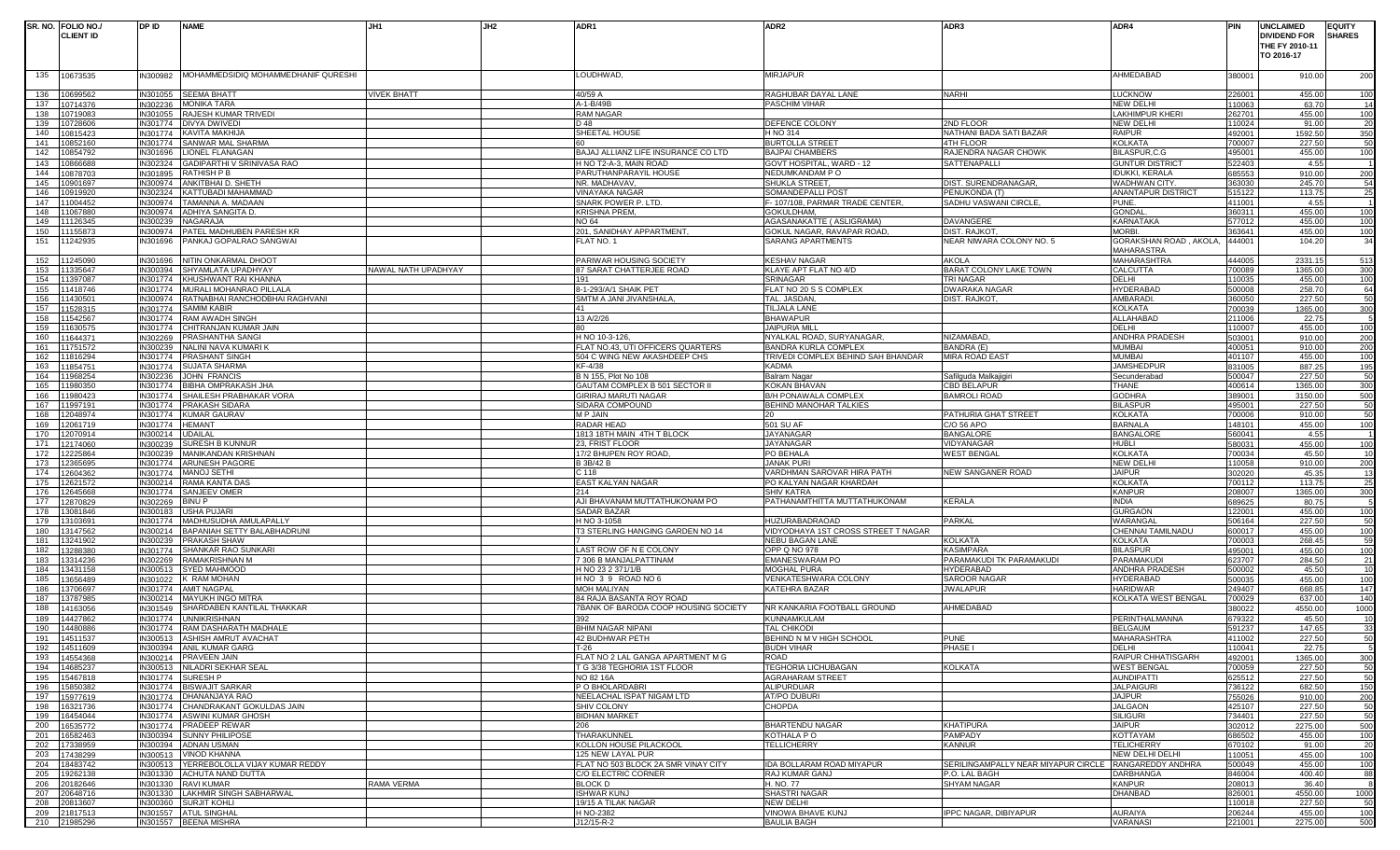|     | SR. NO. FOLIO NO./ | DP ID    | <b>NAME</b>                         | JH1                 | JH <sub>2</sub> | ADR1                                 | ADR <sub>2</sub>                    | ADR3                                                  | ADR4                      | <b>PIN</b> | <b>UNCLAIMED</b>    | <b>EQUITY</b> |
|-----|--------------------|----------|-------------------------------------|---------------------|-----------------|--------------------------------------|-------------------------------------|-------------------------------------------------------|---------------------------|------------|---------------------|---------------|
|     | <b>CLIENT ID</b>   |          |                                     |                     |                 |                                      |                                     |                                                       |                           |            | <b>DIVIDEND FOR</b> | <b>SHARES</b> |
|     |                    |          |                                     |                     |                 |                                      |                                     |                                                       |                           |            | THE FY 2010-11      |               |
|     |                    |          |                                     |                     |                 |                                      |                                     |                                                       |                           |            | TO 2016-17          |               |
|     |                    |          |                                     |                     |                 |                                      |                                     |                                                       |                           |            |                     |               |
| 135 | 10673535           | IN300982 | MOHAMMEDSIDIQ MOHAMMEDHANIF QURESHI |                     |                 | LOUDHWAD,                            | <b>MIRJAPUR</b>                     |                                                       | AHMEDABAD                 | 380001     | 910.00              | 200           |
|     |                    |          |                                     |                     |                 |                                      |                                     |                                                       |                           |            |                     |               |
| 136 | 0699562            | IN301055 | <b>SEEMA BHATT</b>                  | <b>VIVEK BHATT</b>  |                 | 40/59 A                              | RAGHUBAR DAYAL LANE                 | <b>NARHI</b>                                          | <b>LUCKNOW</b>            | 226001     | 455.00              | 100           |
| 137 | 0714376            | IN302236 | <b>MONIKA TARA</b>                  |                     |                 | A-1-B/49E                            | PASCHIM VIHAR                       |                                                       | <b>NEW DELHI</b>          | 110063     | 63.70               | 14            |
| 138 | 0719083            | IN301055 | RAJESH KUMAR TRIVEDI                |                     |                 | <b>RAM NAGAR</b>                     |                                     |                                                       | <b>LAKHIMPUR KHERI</b>    | 262701     | 455.00              | 100           |
| 139 | )728606            | IN301774 | <b>DIVYA DWIVEDI</b>                |                     |                 | D 48                                 | DEFENCE COLONY                      | 2ND FLOOR                                             | <b>NEW DELHI</b>          | 110024     | 91.00               | 20            |
| 140 | 0815423            | IN301774 | <b>KAVITA MAKHIJA</b>               |                     |                 | SHEETAL HOUSE                        | H NO 314                            | NATHANI BADA SATI BAZAR                               | <b>RAIPUR</b>             | 492001     | 1592.50             | 350           |
| 141 | 0852160            | IN301774 | SANWAR MAL SHARMA                   |                     |                 |                                      | <b>BURTOLLA STREET</b>              | 4TH FLOOR                                             | <b>KOLKATA</b>            | 700007     | 227.50              | 50            |
| 142 | 0854792            | IN301696 | LIONEL FLANAGAN                     |                     |                 | BAJAJ ALLIANZ LIFE INSURANCE CO LTD  | <b>BAJPAI CHAMBERS</b>              | RAJENDRA NAGAR CHOWK                                  | BILASPUR,C.G              | 495001     | 455.00              | 100           |
| 143 | 0866688            | IN302324 | GADIPARTHI V SRINIVASA RAO          |                     |                 | H NO T2-A-3, MAIN ROAD               | GOVT HOSPITAL, WARD - 12            | SATTENAPALLI                                          | <b>GUNTUR DISTRICT</b>    | 522403     | 4.55                |               |
| 144 | 0878703            | IN301895 | <b>RATHISH P B</b>                  |                     |                 | PARUTHANPARAYIL HOUSE                | NEDUMKANDAM PO                      |                                                       | <b>IDUKKI, KERALA</b>     | 685553     | 910.00              | 200           |
| 145 | 0901697            | IN300974 | ANKITBHAI D. SHETH                  |                     |                 | NR. MADHAVAV,                        | SHUKLA STREET                       | DIST. SURENDRANAGAR                                   | WADHWAN CITY.             | 363030     | 245.70              | 54            |
| 146 | 0919920            | IN302324 | KATTUBADI MAHAMMAD                  |                     |                 | VINAYAKA NAGAR                       | SOMANDEPALLI POST                   | PENUKONDA (T)                                         | <b>ANANTAPUR DISTRICT</b> | 515122     | 113.75              | 25            |
| 147 | 1004452            | IN300974 | TAMANNA A. MADAAN                   |                     |                 | SNARK POWER P. LTD.                  | F- 107/108, PARMAR TRADE CENTER,    | SADHU VASWANI CIRCLE                                  | PUNE                      | 411001     | 4.55                |               |
| 148 | 1067880            | IN300974 | ADHIYA SANGITA D.                   |                     |                 | <b>KRISHNA PREM.</b>                 | GOKULDHAM.                          |                                                       | <b>GONDA</b>              | 360311     | 455.00              | 100           |
| 149 | 1126345            | IN300239 | NAGARAJA                            |                     |                 | <b>NO 64</b>                         | AGASANAKATTE (ASLIGRAMA)            | DAVANGERE                                             | <b>KARNATAKA</b>          | 577012     | 455.00              | 100           |
| 150 | 1155873            | IN300974 | PATEL MADHUBEN PARESH KR            |                     |                 | 201, SANIDHAY APPARTMENT,            | GOKUL NAGAR, RAVAPAR ROAD,          | <b>DIST. RAJKOT</b>                                   | MORBI.                    | 363641     | 455.00              | 100           |
| 151 | 1242935            | IN301696 | PANKAJ GOPALRAO SANGWAI             |                     |                 | FLAT NO. 1                           | SARANG APARTMENTS                   | NEAR NIWARA COLONY NO. 5                              | GORAKSHAN ROAD, AKOLA,    | 444001     | 104.20              | 34            |
|     |                    |          |                                     |                     |                 |                                      |                                     |                                                       | MAHARASTRA                |            |                     |               |
| 152 | 1245090            | IN301696 | NITIN ONKARMAL DHOOT                |                     |                 | PARIWAR HOUSING SOCIETY              | <b>KESHAV NAGAR</b>                 | <b>AKOLA</b>                                          | <b>MAHARASHTRA</b>        | 444005     | 2331.15             | 513           |
|     | 153 11335647       | IN300394 | SHYAMLATA UPADHYAY                  | NAWAL NATH UPADHYAY |                 | 87 SARAT CHATTERJEE ROAD             | KLAYE APT FLAT NO 4/D               | BARAT COLONY LAKE TOWN                                | <b>CALCUTTA</b>           | 700089     | 1365.00             | 300           |
| 154 | 1397087            | IN301774 | KHUSHWANT RAI KHANNA                |                     |                 |                                      | SRINAGAR                            | <b>TRI NAGAR</b>                                      | DELHI                     | 110035     | 455.00              | 100           |
| 155 | 11418746           | IN301774 | MURALI MOHANRAO PILLALA             |                     |                 | 8-1-293/A/1 SHAIK PET                | FLAT NO 20 S S COMPLEX              | <b>DWARAKA NAGAR</b>                                  | <b>HYDERABAD</b>          | 500008     | 258.70              | 64            |
| 156 | 1430501            | IN300974 | RATNABHAI RANCHODBHAI RAGHVANI      |                     |                 | SMTM A JANI JIVANSHALA               | TAL. JASDAN                         | <b>DIST. RAJKOT</b>                                   | AMBARADI                  | 360050     | 227.50              | 50            |
| 157 | 1528315            | IN301774 | SAMIM KABIR                         |                     |                 |                                      | <b><i>FILJALA LANE</i></b>          |                                                       | <b>KOLKATA</b>            | 700039     | 1365.00             | 300           |
| 158 | 1542567            | IN301774 | RAM AWADH SINGH                     |                     |                 | 13 A/2/26                            | <b>BHAWAPUR</b>                     |                                                       | ALLAHABAD                 | 211006     | 22.75               |               |
| 159 | 1630575            | IN301774 | CHITRANJAN KUMAR JAIN               |                     |                 |                                      | <b>JAIPURIA MILL</b>                |                                                       | DELHI                     | 110007     | 455.00              | 100           |
| 160 | 1644371            | IN302269 | PRASHANTHA SANG                     |                     |                 | H NO 10-3-126                        | NYALKAL ROAD, SURYANAGAR,           | <b>NIZAMABAD</b>                                      | ANDHRA PRADESH            | 503001     | 910.00              | 200           |
| 161 | 1751572            | IN300239 | NALINI NAVA KUMARI I                |                     |                 | FLAT NO.43, UTI OFFICERS QUARTERS    | <b>BANDRA KURLA COMPLEX</b>         | BANDRA (E)                                            | <b>MUMBAI</b>             | 400051     | 910.00              | 200           |
| 162 | 1816294            | IN301774 | PRASHANT SINGH                      |                     |                 | 504 C WING NEW AKASHDEEP CHS         | TRIVEDI COMPLEX BEHIND SAH BHANDAR  | <b>MIRA ROAD EAST</b>                                 | MUMBAI                    | 401107     | 455.00              | 100           |
| 163 | 1854751            | IN301774 | SUJATA SHARMA                       |                     |                 | KF-4/38                              | <b>KADMA</b>                        |                                                       | <b>JAMSHEDPUR</b>         | 831005     | 887.25              | 195           |
| 164 | 1968254            | IN302236 | <b>JOHN FRANCIS</b>                 |                     |                 | B N 155, Plot No 108                 | Balram Nagar                        | Safilguda Malkajigiri                                 | Secunderabad              | 500047     | 227.50              | 50            |
| 165 | 1980350            | IN301774 | BIBHA OMPRAKASH JHA                 |                     |                 | GAUTAM COMPLEX B 501 SECTOR II       | KOKAN BHAVAN                        | <b>CBD BELAPUR</b>                                    | THANE                     | 400614     | 1365.00             | 300           |
| 166 | 1980423            | IN301774 | SHAILESH PRABHAKAR VORA             |                     |                 | GIRIRAJ MARUTI NAGAR                 | B/H PONAWALA COMPLEX                | <b>BAMROLI ROAD</b>                                   | <b>GODHRA</b>             | 389001     | 3150.00             | 500           |
| 167 | 1997191            | IN301774 | PRAKASH SIDARA                      |                     |                 | SIDARA COMPOUND                      | <b>BEHIND MANOHAR TALKIES</b>       |                                                       | <b>BILASPUF</b>           | 495001     | 227.50              | 50            |
| 168 | 2048974            | IN301774 | <b>KUMAR GAURAV</b>                 |                     |                 | M P JAIN                             |                                     | PATHURIA GHAT STREET                                  | KOLKATA                   | 700006     | 910.00              | 50            |
| 169 | 12061719           | IN301774 | <b>HEMANT</b>                       |                     |                 | RADAR HEAD                           | 501 SU AF                           | C/O 56 APO                                            | <b>BARNALA</b>            | 148101     | 455.00              | 100           |
| 170 | 2070914            | IN300214 | UDAILAL                             |                     |                 | 1813 18TH MAIN 4TH T BLOCK           | JAYANAGAR                           | <b>BANGALORE</b>                                      | <b>BANGALORE</b>          | 560041     | 4.55                |               |
| 171 | 2174060            | IN300239 | SURESH B KUNNUR                     |                     |                 | 23, FRIST FLOOR                      | JAYANAGAR                           | VIDYANAGAR                                            | <b>HUBLI</b>              | 580031     | 455.00              | 100           |
| 172 | 2225864            | IN300239 | <b>MANIKANDAN KRISHNAN</b>          |                     |                 | 17/2 BHUPEN ROY ROAD                 | PO BEHALA                           | <b>WEST BENGAL</b>                                    | <b>KOLKATA</b>            | 700034     | 45.50               | 10            |
| 173 | 2365695            | IN301774 | <b>ARUNESH PAGORE</b>               |                     |                 | B 3B/42 B                            | <b>JANAK PURI</b>                   |                                                       | <b>NEW DELHI</b>          | 110058     | 910.00              | 200           |
| 174 | 2604362            | IN301774 | MANOJ SETHI                         |                     |                 | ; 118                                | /ARDHMAN SAROVAR HIRA PATH          | NEW SANGANER ROAD                                     | <b>JAIPUR</b>             | 302020     | 45.35               | 13            |
| 175 | 2621572            | IN300214 | RAMA KANTA DAS                      |                     |                 | EAST KALYAN NAGAR                    | PO KALYAN NAGAR KHARDAH             |                                                       | <b>KOLKATA</b>            | 700112     | 113.75              | 25            |
| 176 | 12645668           | IN301774 | SANJEEV OMER                        |                     |                 | 214                                  | <b>SHIV KATRA</b>                   |                                                       | <b>KANPUR</b>             | 208007     | 1365.00             | 300           |
| 177 | 2870829            | IN302269 | BINU P                              |                     |                 | AJI BHAVANAM MUTTATHUKONAM PO        | PATHANAMTHITTA MUTTATHUKONAM        | <b>KERALA</b>                                         | <b>INDIA</b>              | 689625     | 80.75               |               |
| 178 | 13081846           | IN300183 | <b>USHA PUJARI</b>                  |                     |                 | SADAR BAZAR                          |                                     |                                                       | <b>GURGAON</b>            | 122001     | 455.00              | 100           |
| 179 | 3103691            | IN301774 | MADHUSUDHA AMULAPALLY               |                     |                 | H NO 3-1058                          | HUZURABADRAOAD                      | PARKAL                                                | <b>WARANGA</b>            | 506164     | 227.50              | 50            |
| 180 | 13147562           | IN300214 | BAPANIAH SETTY BALABHADRUNI         |                     |                 | T3 STERLING HANGING GARDEN NO 14     | VIDYODHAYA 1ST CROSS STREET T NAGAR |                                                       | CHENNAI TAMILNADU         | 600017     | 455.00              | 100           |
| 181 | 3241902            | IN300239 | PRAKASH SHAW                        |                     |                 |                                      | <b>NEBU BAGAN LANE</b>              | <b>KOLKATA</b>                                        | <b>KOLKATA</b>            | 700003     | 268.45              | 59            |
| 182 | 3288380            | IN301774 | SHANKAR RAO SUNKARI                 |                     |                 | LAST ROW OF N E COLONY               | OPP Q NO 978                        | <b>KASIMPARA</b>                                      | <b>BILASPUR</b>           | 495001     | 455.00              | 100           |
| 183 | 3314236            | IN302269 | RAMAKRISHNAN M                      |                     |                 | 7 306 B MANJALPATTINAM               | EMANESWARAM PO                      | PARAMAKUDI TK PARAMAKUDI                              | PARAMAKUD                 | 623707     | 284.50              | 21            |
| 184 | 3431158            | IN300513 | <b>SYED MAHMOOD</b>                 |                     |                 | H NO 23 2 371/1/B                    | MOGHAL PURA                         | <b>HYDERABAD</b>                                      | ANDHRA PRADESH            | 500002     | 45.50               | 10            |
| 185 | 3656489            | IN301022 | K RAM MOHAN                         |                     |                 | HNO 39 ROADNO6                       | VENKATESHWARA COLONY                | <b>SAROOR NAGAR</b>                                   | <b>HYDERABAD</b>          | 500035     | 455.00              | 100           |
| 186 | 3706697            | IN301774 | <b>AMIT NAGPAL</b>                  |                     |                 | MOH MALIYAN                          | KATEHRA BAZAR                       | <b>JWALAPUR</b>                                       | <b>HARIDWAR</b>           | 249407     | 668.85              | 147           |
| 187 | 3787985            | IN300214 | <b>MAYUKH INGO MITRA</b>            |                     |                 | 84 RAJA BASANTA ROY ROAD             |                                     |                                                       | KOLKATA WEST BENGAL       | 700029     | 637.00              | 140           |
| 188 | 14163056           | IN301549 | SHARDABEN KANTILAL THAKKAR          |                     |                 | 7BANK OF BARODA COOP HOUSING SOCIETY | NR KANKARIA FOOTBALL GROUND         | AHMEDABAD                                             |                           | 380022     | 4550.00             | 1000          |
| 189 | 4427862            | IN301774 | <b>UNNIKRISHNAN</b>                 |                     |                 | 392                                  | KUNNAMKULAM                         |                                                       | PERINTHALMANNA            | 679322     | 45.50               | 10            |
| 190 | 14480886           | IN301774 | RAM DASHARATH MADHALE               |                     |                 | <b>BHIM NAGAR NIPANI</b>             | TAL CHIKODI                         |                                                       | <b>BELGAUM</b>            | 591237     | 147.65              | 33            |
| 191 | 14511537           |          | IN300513 ASHISH AMRUT AVACHAT       |                     |                 | 42 BUDHWAR PETH                      | BEHIND N M V HIGH SCHOOL            | <b>PUNE</b>                                           | <b>MAHARASHTRA</b>        | 411002     | 227.50              | 50            |
|     | 192 14511609       |          | IN300394 ANIL KUMAR GARG            |                     |                 | Г-26                                 | <b>BUDH VIHAR</b>                   | PHASE I                                               | DELHI                     | 110041     | 22.75               |               |
| 193 | 14554368           | IN300214 | PRAVEEN JAIN                        |                     |                 | FLAT NO 2 LAL GANGA APARTMENT M G    | <b>ROAD</b>                         |                                                       | <b>RAIPUR CHHATISGARH</b> | 492001     | 1365.00             | 300           |
|     | 194 14685237       | IN300513 | NILADRI SEKHAR SEAL                 |                     |                 | T G 3/38 TEGHORIA 1ST FLOOR          | <b>TEGHORIA LICHUBAGAN</b>          | <b>KOLKATA</b>                                        | <b>WEST BENGAL</b>        | 700059     | 227.50              | 50            |
| 195 | 15467818           | IN301774 | SURESH P                            |                     |                 | NO 82 16A                            | <b>AGRAHARAM STREET</b>             |                                                       | <b>AUNDIPATTI</b>         | 625512     | 227.50              | 50            |
| 196 | 15850382           | IN301774 | <b>BISWAJIT SARKAR</b>              |                     |                 | P O BHOLARDABRI                      | ALIPURDUAR                          |                                                       | <b>JALPAIGURI</b>         | 736122     | 682.50              | 150           |
|     | 197 15977619       | IN301774 | DHANANJAYA RAO                      |                     |                 | NEELACHAL ISPAT NIGAM LTD            | <b>AT/PO DUBURI</b>                 |                                                       | <b>JAJPUR</b>             | 755026     | 910.00              | 200           |
| 198 | 16321736           | IN301774 | CHANDRAKANT GOKULDAS JAIN           |                     |                 | SHIV COLONY                          | CHOPDA                              |                                                       | <b>JALGAON</b>            | 425107     | 227.50              | 50            |
|     | 199 16454044       | IN301774 | <b>ASWINI KUMAR GHOSH</b>           |                     |                 | <b>BIDHAN MARKET</b>                 |                                     |                                                       | <b>SILIGURI</b>           | 734401     | 227.50              | 50            |
| 200 | 16535772           | IN301774 | PRADEEP REWAR                       |                     |                 | 206                                  | <b>BHARTENDU NAGAR</b>              | <b>KHATIPURA</b>                                      | <b>JAIPUR</b>             | 302012     | 2275.00             | 500           |
| 201 | 6582463            | IN300394 | <b>SUNNY PHILIPOSE</b>              |                     |                 | THARAKUNNEL                          | KOTHALA PO                          | PAMPADY                                               | <b>KOTTAYAM</b>           | 686502     | 455.00              | 100           |
| 202 | 17338959           | IN300394 | <b>ADNAN USMAN</b>                  |                     |                 | KOLLON HOUSE PILACKOOL               | <b>TELLICHERRY</b>                  | <b>KANNUR</b>                                         | <b>TELICHERRY</b>         | 670102     | 91.00               | 20            |
| 203 | 17438299           | IN300513 | <b>VINOD KHANNA</b>                 |                     |                 | 125 NEW LAYAL PUR                    |                                     |                                                       | NEW DELHI DELHI           | 110051     | 455.00              | 100           |
| 204 | 18483742           | IN300513 | YERREBOLOLLA VIJAY KUMAR REDDY      |                     |                 | FLAT NO 503 BLOCK 2A SMR VINAY CITY  | IDA BOLLARAM ROAD MIYAPUR           | SERILINGAMPALLY NEAR MIYAPUR CIRCLE RANGAREDDY ANDHRA |                           | 500049     | 455.00              | 100           |
| 205 | 19262138           | IN301330 | ACHUTA NAND DUTTA                   |                     |                 | C/O ELECTRIC CORNER                  | RAJ KUMAR GANJ                      | P.O. LAL BAGH                                         | <b>DARBHANGA</b>          | 846004     | 400.40              | 88            |
| 206 | 20182646           | IN301330 | <b>RAVI KUMAR</b>                   | RAMA VERMA          |                 | BLOCK D                              | H. NO. 77                           | <b>SHYAM NAGAR</b>                                    | <b>KANPUR</b>             | 208013     | 36.40               |               |
| 207 | 20648716           | IN301330 | LAKHMIR SINGH SABHARWAL             |                     |                 | <b>ISHWAR KUNJ</b>                   | SHASTRI NAGAR                       |                                                       | DHANBAD                   | 826001     | 4550.00             | 1000          |
| 208 | 20813607           | IN300360 | <b>SURJIT KOHLI</b>                 |                     |                 | 19/15 A TILAK NAGAR                  | <b>NEW DELHI</b>                    |                                                       |                           | 110018     | 227.50              | - 50          |
| 209 | 21817513           | IN301557 | <b>ATUL SINGHAL</b>                 |                     |                 | H NO-2382                            | VINOWA BHAVE KUNJ                   | <b>IPPC NAGAR, DIBIYAPUR</b>                          | AURAIYA                   | 206244     | 455.00              | 100           |
|     | 210 21985296       |          | IN301557 BEENA MISHRA               |                     |                 | J12/15-R-2                           | <b>BAULIA BAGH</b>                  |                                                       | <b>VARANASI</b>           | 221001     | 2275.00             | 500           |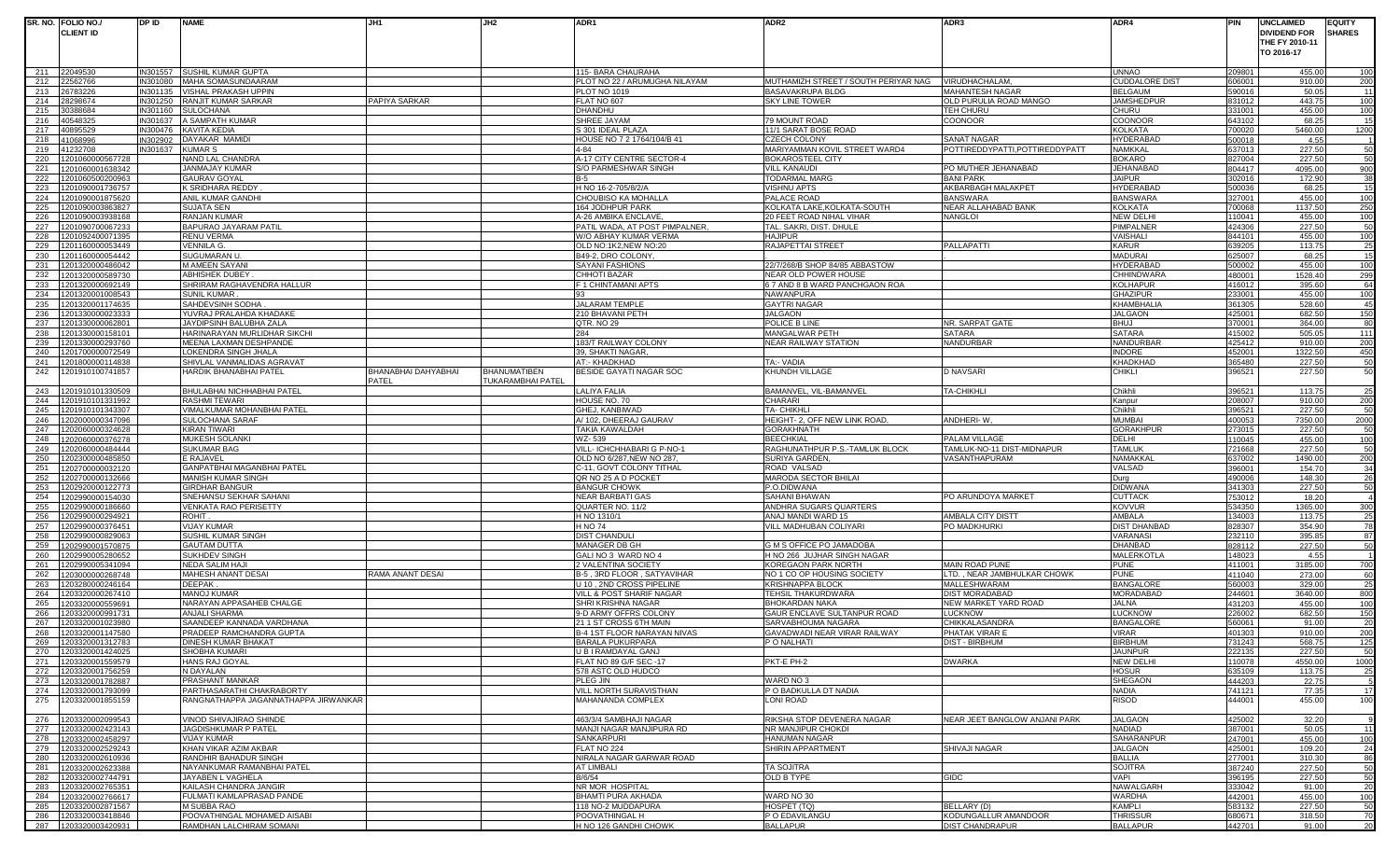|            | SR. NO. FOLIO NO./                           | DP ID                | <b>NAME</b>                                        | JH1                 | JH2                 | ADR1                                                 | ADR <sub>2</sub>                                       | ADR3                                  | ADR4                               | PIN              | <b>UNCLAIMED</b>             |                   | <b>EQUITY</b> |
|------------|----------------------------------------------|----------------------|----------------------------------------------------|---------------------|---------------------|------------------------------------------------------|--------------------------------------------------------|---------------------------------------|------------------------------------|------------------|------------------------------|-------------------|---------------|
|            | <b>CLIENT ID</b>                             |                      |                                                    |                     |                     |                                                      |                                                        |                                       |                                    |                  | <b>DIVIDEND FOR</b>          |                   | <b>SHARES</b> |
|            |                                              |                      |                                                    |                     |                     |                                                      |                                                        |                                       |                                    |                  | THE FY 2010-11<br>TO 2016-17 |                   |               |
|            |                                              |                      |                                                    |                     |                     |                                                      |                                                        |                                       |                                    |                  |                              |                   |               |
| 211        | 22049530                                     |                      | IN301557 SUSHIL KUMAR GUPTA                        |                     |                     | 115- BARA CHAURAHA                                   |                                                        |                                       | UNNAO                              | 209801           |                              | 455.00            | 100           |
| 212        | 2562766                                      | N301080              | MAHA SOMASUNDAARAM                                 |                     |                     | PLOT NO 22 / ARUMUGHA NILAYAM                        | MUTHAMIZH STREET / SOUTH PERIYAR NAG                   | VIRUDHACHALAM.                        | CUDDALORE DIST                     | 606001           |                              | 910.00            | 200           |
| 213        | 26783226                                     | IN301135             | <b>VISHAL PRAKASH UPPIN</b>                        |                     |                     | <b>PLOT NO 1019</b>                                  | <b>BASAVAKRUPA BLDG</b>                                | <b>MAHANTESH NAGAR</b>                | BELGAUM                            | 590016           |                              | 50.05             | - 11          |
| 214        | 3298674                                      | IN301250             | RANJIT KUMAR SARKAR                                | PAPIYA SARKAR       |                     | FLAT NO 607                                          | <b>SKY LINE TOWER</b>                                  | OLD PURULIA ROAD MANGO                | <b>JAMSHEDPUF</b>                  | 831012           |                              | 443.75            | 100           |
| 215<br>216 | 0388684<br>0548325                           | IN301160<br>IN301637 | <b>SULOCHANA</b><br>A SAMPATH KUMAR                |                     |                     | DHANDHU<br>SHREE JAYAM                               | 79 MOUNT ROAD                                          | <b>TEH CHURU</b><br><b>COONOOR</b>    | CHURU<br>COONOOF                   | 331001<br>643102 |                              | 455.00<br>68.25   | 100           |
| 217        | 0895529                                      | IN300476             | KAVITA KEDIA                                       |                     |                     | S 301 IDEAL PLAZA                                    | 11/1 SARAT BOSE ROAD                                   |                                       | <b>KOLKATA</b>                     | 700020           | 5460.00                      |                   | 15<br>1200    |
| 218        | 41068996                                     | IN302902             | DAYAKAR MAMIDI                                     |                     |                     | HOUSE NO 7 2 1764/104/B 41                           | <b>CZECH COLONY</b>                                    | <b>SANAT NAGAR</b>                    | HYDERABAD                          | 500018           |                              | 4.55              |               |
| 219        | 1232708                                      | IN301637             | <b>KUMAR S</b>                                     |                     |                     | $4 - 84$                                             | MARIYAMMAN KOVIL STREET WARD4                          | POTTIREDDYPATTI, POTTIREDDYPATT       | NAMKKAL                            | 637013           |                              | 227.50            | 50            |
| 220        | 1201060000567728                             |                      | NAND LAL CHANDRA                                   |                     |                     | A-17 CITY CENTRE SECTOR-4                            | <b>BOKAROSTEEL CITY</b>                                |                                       | BOKARO                             | 827004           |                              | 227.50            | 50            |
| 221        | 201060001638342                              |                      | JANMAJAY KUMAR                                     |                     |                     | S/O PARMESHWAR SINGH                                 | <b>VILL KANAUDI</b>                                    | PO MUTHER JEHANABAD                   | JEHANABAD                          | 804417           | 4095.00                      |                   | 900           |
| 222        | 201060500200963                              |                      | <b>GAURAV GOYAL</b>                                |                     |                     | B-5                                                  | <b>TODARMAL MARG</b>                                   | <b>BANI PARK</b>                      | <b>JAIPUR</b>                      | 302016           |                              | 172.90            | 38            |
| 223<br>224 | 201090001736757<br>201090001875620           |                      | K SRIDHARA REDDY<br>ANIL KUMAR GANDHI              |                     |                     | H NO 16-2-705/8/2/A<br>CHOUBISO KA MOHALLA           | <b>VISHNU APTS</b><br>PALACE ROAD                      | AKBARBAGH MALAKPET<br><b>BANSWARA</b> | HYDERABAD<br><b>BANSWARA</b>       | 500036<br>327001 |                              | 68.25<br>455.00   | 15<br>100     |
| 225        | 201090003863827                              |                      | <b>SUJATA SEN</b>                                  |                     |                     | 164 JODHPUR PARK                                     | KOLKATA LAKE, KOLKATA-SOUTH                            | NEAR ALLAHABAD BANK                   | KOLKATA                            | 700068           | 1137.50                      |                   | 250           |
| 226        | 1201090003938168                             |                      | <b>RANJAN KUMAR</b>                                |                     |                     | A-26 AMBIKA ENCLAVE                                  | 20 FEET ROAD NIHAL VIHAR                               | <b>NANGLOI</b>                        | <b>NEW DELHI</b>                   | 110041           |                              | 455.00            | 100           |
| 227        | 1201090700067233                             |                      | BAPURAO JAYARAM PATIL                              |                     |                     | PATIL WADA, AT POST PIMPALNER,                       | TAL. SAKRI, DIST. DHULE                                |                                       | PIMPALNER                          | 424306           |                              | 227.50            | 50            |
| 228        | 201092400071395                              |                      | <b>RENU VERMA</b>                                  |                     |                     | W/O ABHAY KUMAR VERMA                                | <b>HAJIPUR</b>                                         |                                       | VAISHALI                           | 844101           |                              | 455.00            | 100           |
| 229        | 1201160000053449                             |                      | <b>VENNILA G.</b>                                  |                     |                     | OLD NO:1K2, NEW NO:20                                | RAJAPETTAI STREET                                      | <b>PALLAPATTI</b>                     | KARUR                              | 639205           |                              | 113.75            | 25            |
| 230<br>231 | 1201160000054442                             |                      | SUGUMARAN U                                        |                     |                     | B49-2, DRO COLONY                                    |                                                        |                                       | MADURAI<br>HYDERABAD               | 325007           |                              | 68.25             | 15            |
| 232        | 201320000486042<br>1201320000589730          |                      | M AMEEN SAYANI<br><b>ABHISHEK DUBEY</b>            |                     |                     | <b>SAYANI FASHIONS</b><br>CHHOTI BAZAR               | 22/7/268/B SHOP 84/85 ABBASTOW<br>NEAR OLD POWER HOUSE |                                       | <b>CHHINDWARA</b>                  | 500002<br>480001 | 1528.40                      | 455.00            | 100<br>299    |
| 233        | 1201320000692149                             |                      | SHRIRAM RAGHAVENDRA HALLUR                         |                     |                     | F 1 CHINTAMANI APTS                                  | 6 7 AND 8 B WARD PANCHGAON ROA                         |                                       | <b>KOLHAPUR</b>                    | 416012           |                              | 395.60            | 64            |
| 234        | 1201320001008543                             |                      | <b>SUNIL KUMAR</b>                                 |                     |                     | 93                                                   | <b>NAWANPURA</b>                                       |                                       | <b>GHAZIPUR</b>                    | 233001           |                              | 455.00            | 100           |
| 235        | 1201320001174635                             |                      | SAHDEVSINH SODHA                                   |                     |                     | JALARAM TEMPL                                        | <b>GAYTRI NAGAR</b>                                    |                                       | <b>KHAMBHALIA</b>                  | 361305           |                              | 528.60            | 45            |
| 236        | 201330000023333                              |                      | YUVRAJ PRALAHDA KHADAKE                            |                     |                     | 210 BHAVANI PETH                                     | <b>JALGAON</b>                                         |                                       | <b>JALGAON</b>                     | 425001           |                              | 682.50            | 150           |
| 237        | 201330000062801                              |                      | JAYDIPSINH BALUBHA ZALA                            |                     |                     | QTR. NO 29                                           | POLICE B LINE                                          | NR. SARPAT GATE                       | <b>BHUJ</b>                        | 370001           |                              | 364.00            | 80            |
| 238        | 201330000158101                              |                      | HARINARAYAN MURLIDHAR SIKCHI                       |                     |                     | 284                                                  | <b>MANGALWAR PETH</b>                                  | <b>SATARA</b>                         | SATARA                             | 415002           |                              | 505.05            | 111           |
| 239<br>240 | 201330000293760                              |                      | MEENA LAXMAN DESHPANDE                             |                     |                     | 183/T RAILWAY COLONY<br>39. SHAKTI NAGAR.            | <b>NEAR RAILWAY STATION</b>                            | NANDURBAR                             | NANDURBAR<br><b>INDORE</b>         | 425412           |                              | 910.00            | 200           |
| 241        | 201700000072549<br>1201800000114838          |                      | LOKENDRA SINGH JHALA<br>SHIVLAL VANMALIDAS AGRAVAT |                     |                     | AT:- KHADKHAD                                        | TA:- VADIA                                             |                                       | KHADKHAD                           | 452001<br>365480 | 1322.50                      | 227.50            | 450<br>50     |
| 242        | 1201910100741857                             |                      | HARDIK BHANABHAI PATEL                             | BHANABHAI DAHYABHAI | <b>BHANUMATIBEN</b> | BESIDE GAYATI NAGAR SOC                              | KHUNDH VILLAGE                                         | <b>D NAVSARI</b>                      | CHIKLI                             | 396521           |                              | 227.50            | 50            |
|            |                                              |                      |                                                    | PATEL               | UKARAMBHAI PATEL    |                                                      |                                                        |                                       |                                    |                  |                              |                   |               |
| 243        | 201910101330509                              |                      | BHULABHAI NICHHABHAI PATEL                         |                     |                     | LALIYA FALIA                                         | BAMANVEL, VIL-BAMANVEL                                 | <b>TA-CHIKHLI</b>                     | Chikhli                            | 396521           |                              | 113.75            | 25            |
| 244        | 1201910101331992                             |                      | <b>RASHMI TEWARI</b>                               |                     |                     | HOUSE NO. 70                                         | CHARARI                                                |                                       | <u>Kanpur</u>                      | 208007           |                              | 910.00            | 200           |
| 245        | 1201910101343307                             |                      | VIMALKUMAR MOHANBHAI PATEL                         |                     |                     | GHEJ, KANBIWAD                                       | <b>TA- CHIKHLI</b>                                     |                                       | Chikhli                            | 396521           |                              | 227.50            | 50            |
| 246        | 202000000347096                              |                      | SULOCHANA SARAF                                    |                     |                     | A/ 102, DHEERAJ GAURAV                               | HEIGHT- 2, OFF NEW LINK ROAD,                          | ANDHERI-W,                            | MUMBAI                             | 400053           | 7350.00                      |                   | 2000          |
| 247<br>248 | 202060000324628<br>202060000376278           |                      | <b>KIRAN TIWARI</b><br>MUKESH SOLANKI              |                     |                     | <b>TAKIA KAWALDAH</b><br>WZ-539                      | <b>GORAKHNATH</b><br><b>BEECHKIAL</b>                  | PALAM VILLAGE                         | <b>GORAKHPL</b><br><b>DELHI</b>    | 273015<br>110045 |                              | 227.50<br>455.00  | 50<br>100     |
| 249        | 202060000484444                              |                      | <b>SUKUMAR BAG</b>                                 |                     |                     | VILL- ICHCHHABARI G P-NO-1                           | RAGHUNATHPUR P.S.-TAMLUK BLOCK                         | TAMLUK-NO-11 DIST-MIDNAPUR            | <b>TAMLUK</b>                      | 721668           |                              | 227.50            | 50            |
| 250        | 202300000485850                              |                      | E RAJAVEL                                          |                     |                     | OLD NO 6/287, NEW NO 287                             | SURIYA GARDEN,                                         | VASANTHAPURAM                         | <b>NAMAKKA</b>                     | 637002           | 1490.00                      |                   | 200           |
| 251        | 202700000032120                              |                      | GANPATBHAI MAGANBHAI PATEL                         |                     |                     | C-11, GOVT COLONY TITHAL                             | ROAD VALSAD                                            |                                       | VALSAD                             | 396001           |                              | 154.70            | 34            |
| 252        | 202700000132666                              |                      | MANISH KUMAR SINGH                                 |                     |                     | QR NO 25 A D POCKET                                  | MARODA SECTOR BHILAI                                   |                                       | Durg                               | 490006           |                              | 148.30            | 26            |
| 253        | 202920000122773                              |                      | <b>GIRDHAR BANGUR</b>                              |                     |                     | <b>BANGUR CHOWK</b>                                  | P.O.DIDWANA                                            |                                       | <b>DIDWANA</b>                     | 341303           |                              | 227.50            | 50            |
| 254        | 202990000154030                              |                      | SNEHANSU SEKHAR SAHANI                             |                     |                     | <b>NEAR BARBATI GAS</b>                              | SAHANI BHAWAN                                          | PO ARUNDOYA MARKET                    | CUTTACK                            | 753012           |                              | 18.20             |               |
| 255<br>256 | 1202990000186660<br>202990000294921          |                      | VENKATA RAO PERISETTY<br><b>ROHIT</b>              |                     |                     | QUARTER NO. 11/2<br>H NO 1310/1                      | ANDHRA SUGARS QUARTERS<br>ANAJ MANDI WARD 15           | AMBALA CITY DISTT                     | KOVVUR<br>AMBALA                   | 534350<br>134003 |                              | 1365.00<br>113.75 | 300<br>25     |
| 257        | 202990000376451                              |                      | <b>VIJAY KUMAR</b>                                 |                     |                     | <b>H NO 74</b>                                       | VILL MADHUBAN COLIYARI                                 | PO MADKHURKI                          | <b>DIST DHANBAD</b>                | 828307           |                              | 354.90            | 78            |
| 258        | 202990000829063                              |                      | SUSHIL KUMAR SINGH                                 |                     |                     | <b>DIST CHANDULI</b>                                 |                                                        |                                       | VARANASI                           | 232110           |                              | 395.85            | 87            |
| 259        | 202990001570875                              |                      | <b>GAUTAM DUTTA</b>                                |                     |                     | MANAGER DB GH                                        | G M S OFFICE PO JAMADOBA                               |                                       | DHANBAD                            | 828112           |                              | 227.50            | 50            |
| 260        | 202990005280652                              |                      | <b>SUKHDEV SINGH</b>                               |                     |                     | GALI NO 3 WARD NO 4                                  | H NO 266 JUJHAR SINGH NAGAR                            |                                       | <b>MALERKOTLA</b>                  | 148023           |                              | 4.55              |               |
| 261        | 202990005341094                              |                      | <b>NEDA SALIM HAJI</b>                             |                     |                     | 2 VALENTINA SOCIETY                                  | <b>KOREGAON PARK NORTH</b>                             | <b>MAIN ROAD PUNE</b>                 | <b>PUNE</b>                        | 411001           | 3185.00                      |                   | 700           |
| 262        | 203000000268748                              |                      | <b>MAHESH ANANT DESAI</b>                          | RAMA ANANT DESAI    |                     | B-5, 3RD FLOOR, SATYAVIHAR                           | NO 1 CO OP HOUSING SOCIETY                             | LTD. . NEAR JAMBHULKAR CHOWK          | PUNE                               | 411040           |                              | 273.00            | 60            |
| 263<br>264 | 203280000246164<br>203320000267410           |                      | <b>DEEPAK</b><br>MANOJ KUMAR                       |                     |                     | U 10, 2ND CROSS PIPELINE<br>VILL & POST SHARIF NAGAR | <b>KRISHNAPPA BLOCK</b><br><b>TEHSIL THAKURDWARA</b>   | MALLESHWARAM<br><b>DIST MORADABAD</b> | <b>BANGALORE</b><br>MORADABAD      | 560003<br>244601 | 3640.00                      | 329.00            | 25<br>800     |
| 265        | 203320000559691                              |                      | NARAYAN APPASAHEB CHALGE                           |                     |                     | SHRI KRISHNA NAGAR                                   | BHOKARDAN NAKA                                         | NEW MARKET YARD ROAD                  | JALNA                              | 431203           |                              | 455.00            | 100           |
| 266        | 203320000991731                              |                      | <b>ANJALI SHARMA</b>                               |                     |                     | 9-D ARMY OFFRS COLONY                                | GAUR ENCLAVE SULTANPUR ROAD                            | <b>LUCKNOW</b>                        | LUCKNOW                            | 226002           |                              | 682.50            | 150           |
| 267        | 1203320001023980                             |                      | SAANDEEP KANNADA VARDHANA                          |                     |                     | 21 1 ST CROSS 6TH MAIN                               | SARVABHOUMA NAGARA                                     | CHIKKALASANDRA                        | <b>BANGALORE</b>                   | 560061           |                              | 91.00             | 20            |
| 268        | 1203320001147580                             |                      | PRADEEP RAMCHANDRA GUPTA                           |                     |                     | B-4 1ST FLOOR NARAYAN NIVAS                          | GAVADWADI NEAR VIRAR RAILWAY                           | PHATAK VIRAR E                        | <b>VIRAR</b>                       | 401303           |                              | 910.00            | 200           |
| 269        | 1203320001312783                             |                      | DINESH KUMAR BHAKAT                                |                     |                     | <b>BARALA PUKURPARA</b>                              | P O NALHATI                                            | <b>DIST - BIRBHUM</b>                 | BIRBHUM                            | 731243           |                              | 568.75            |               |
|            | 270 1203320001424025<br>271 1203320001559579 |                      | SHOBHA KUMARI                                      |                     |                     | U B I RAMDAYAL GANJ                                  |                                                        | <b>DWARKA</b>                         | <b>JAUNPUR</b><br><b>NEW DELHI</b> | 222135           |                              | 227.50            | 50<br>1000    |
| 272        | 1203320001756259                             |                      | HANS RAJ GOYAL<br>N DAYALAN                        |                     |                     | FLAT NO 89 G/F SEC -17<br>578 ASTC OLD HUDCO         | PKT-E PH-2                                             |                                       | <b>HOSUR</b>                       | 110078<br>635109 |                              | 4550.00<br>113.75 | 25            |
| 273        | 1203320001782887                             |                      | PRASHANT MANKAR                                    |                     |                     | PLEG JIN                                             | WARD NO 3                                              |                                       | SHEGAON                            | 444203           |                              | 22.75             |               |
|            | 274 1203320001793099                         |                      | PARTHASARATHI CHAKRABORTY                          |                     |                     | VILL NORTH SURAVISTHAN                               | P O BADKULLA DT NADIA                                  |                                       | <b>NADIA</b>                       | 741121           |                              | 77.35             | 17            |
| 275        | 1203320001855159                             |                      | RANGNATHAPPA JAGANNATHAPPA JIRWANKAR               |                     |                     | MAHANANDA COMPLEX                                    | LONI ROAD                                              |                                       | RISOD                              | 444001           |                              | 455.00            | 100           |
|            |                                              |                      |                                                    |                     |                     |                                                      |                                                        |                                       |                                    |                  |                              |                   |               |
| 276        | 1203320002099543                             |                      | VINOD SHIVAJIRAO SHINDE                            |                     |                     | 463/3/4 SAMBHAJI NAGAR                               | RIKSHA STOP DEVENERA NAGAR                             | NEAR JEET BANGLOW ANJANI PARK         | <b>JALGAON</b>                     | 425002           |                              | 32.20             |               |
| 277        | 1203320002423143                             |                      | JAGDISHKUMAR P PATEL                               |                     |                     | MANJI NAGAR MANJIPURA RD                             | NR MANJIPUR CHOKDI                                     |                                       | <b>NADIAD</b>                      | 387001           |                              | 50.05             | 111           |
| 278<br>279 | 1203320002458297<br>1203320002529243         |                      | <b>VIJAY KUMAR</b><br>KHAN VIKAR AZIM AKBAR        |                     |                     | <b>SANKARPURI</b><br>FLAT NO 224                     | <b>HANUMAN NAGAR</b><br>SHIRIN APPARTMENT              | SHIVAJI NAGAR                         | SAHARANPUR<br><b>JALGAON</b>       | 247001<br>425001 |                              | 455.00<br>109.20  | 100<br>24     |
| 280        | 1203320002610936                             |                      | RANDHIR BAHADUR SINGH                              |                     |                     | NIRALA NAGAR GARWAR ROAD                             |                                                        |                                       | <b>BALLIA</b>                      | 277001           |                              | 310.30            | 86            |
| 281        | 1203320002623388                             |                      | NAYANKUMAR RAMANBHAI PATEL                         |                     |                     | <b>AT LIMBALI</b>                                    | <b>TA SOJITRA</b>                                      |                                       | <b>SOJITRA</b>                     | 387240           |                              | 227.50            | 50            |
| 282        | 1203320002744791                             |                      | JAYABEN L VAGHELA                                  |                     |                     | B/6/54                                               | OLD B TYPE                                             | <b>GIDC</b>                           | VAPI                               | 396195           |                              | 227.50            | 50            |
| 283        | 1203320002765351                             |                      | KAILASH CHANDRA JANGIR                             |                     |                     | NR MOR HOSPITAL                                      |                                                        |                                       | NAWALGARH                          | 333042           |                              | 91.00             | 20            |
| 284        | 1203320002766617                             |                      | <b>FULMATI KAMLAPRASAD PANDE</b>                   |                     |                     | <b>BHAMTI PURA AKHADA</b>                            | WARD NO 30                                             |                                       | <b>WARDHA</b>                      | 442001           |                              | 455.00            | 100           |
| 285<br>286 | 1203320002871567<br>1203320003418846         |                      | M SUBBA RAO<br>POOVATHINGAL MOHAMED AISABI         |                     |                     | 118 NO-2 MUDDAPURA<br>POOVATHINGAL H                 | HOSPET (TQ)<br>P O EDAVILANGU                          | BELLARY (D)<br>KODUNGALLUR AMANDOOR   | KAMPLI<br><b>THRISSUR</b>          | 583132<br>680671 |                              | 227.50<br>318.50  | 50<br>70      |
|            | 287  1203320003420931                        |                      | RAMDHAN LALCHIRAM SOMANI                           |                     |                     | H NO 126 GANDHI CHOWK                                | <b>BALLAPUR</b>                                        | <b>DIST CHANDRAPUR</b>                | <b>BALLAPUR</b>                    | 442701           |                              | 91.00             | 20            |
|            |                                              |                      |                                                    |                     |                     |                                                      |                                                        |                                       |                                    |                  |                              |                   |               |